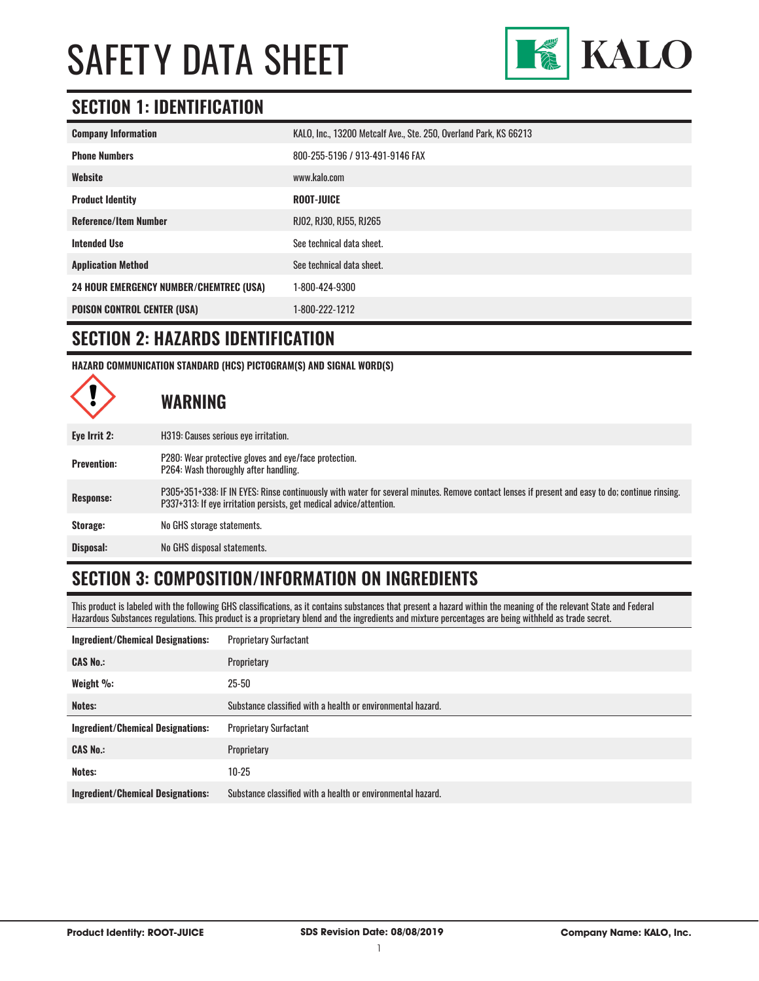

#### **SECTION 1: IDENTIFICATION**

| <b>Company Information</b>                     | KALO, Inc., 13200 Metcalf Ave., Ste. 250, Overland Park, KS 66213 |
|------------------------------------------------|-------------------------------------------------------------------|
| <b>Phone Numbers</b>                           | 800-255-5196 / 913-491-9146 FAX                                   |
| Website                                        | www.kalo.com                                                      |
| <b>Product Identity</b>                        | <b>ROOT-JUICE</b>                                                 |
| <b>Reference/Item Number</b>                   | RJ02, RJ30, RJ55, RJ265                                           |
| <b>Intended Use</b>                            | See technical data sheet.                                         |
| <b>Application Method</b>                      | See technical data sheet.                                         |
| <b>24 HOUR EMERGENCY NUMBER/CHEMTREC (USA)</b> | 1-800-424-9300                                                    |
| <b>POISON CONTROL CENTER (USA)</b>             | 1-800-222-1212                                                    |

#### **SECTION 2: HAZARDS IDENTIFICATION**

**HAZARD COMMUNICATION STANDARD (HCS) PICTOGRAM(S) AND SIGNAL WORD(S)**

|                    | <b>WARNING</b>                                                                                                                                                                                                         |
|--------------------|------------------------------------------------------------------------------------------------------------------------------------------------------------------------------------------------------------------------|
| Eye Irrit 2:       | H319: Causes serious eve irritation.                                                                                                                                                                                   |
| <b>Prevention:</b> | P280: Wear protective gloves and eye/face protection.<br>P264: Wash thoroughly after handling.                                                                                                                         |
| <b>Response:</b>   | P305+351+338: IF IN EYES: Rinse continuously with water for several minutes. Remove contact lenses if present and easy to do; continue rinsing.<br>P337+313: If eye irritation persists, get medical advice/attention. |
| Storage:           | No GHS storage statements.                                                                                                                                                                                             |
| Disposal:          | No GHS disposal statements.                                                                                                                                                                                            |

## **SECTION 3: COMPOSITION/INFORMATION ON INGREDIENTS**

This product is labeled with the following GHS classifications, as it contains substances that present a hazard within the meaning of the relevant State and Federal Hazardous Substances regulations. This product is a proprietary blend and the ingredients and mixture percentages are being withheld as trade secret.

| <b>Ingredient/Chemical Designations:</b> | <b>Proprietary Surfactant</b>                               |  |  |  |
|------------------------------------------|-------------------------------------------------------------|--|--|--|
| <b>CAS No.:</b>                          | Proprietary                                                 |  |  |  |
| Weight %:                                | $25 - 50$                                                   |  |  |  |
| Notes:                                   | Substance classified with a health or environmental hazard. |  |  |  |
|                                          |                                                             |  |  |  |
| <b>Ingredient/Chemical Designations:</b> | <b>Proprietary Surfactant</b>                               |  |  |  |
| <b>CAS No.:</b>                          | Proprietary                                                 |  |  |  |
| Notes:                                   | $10-25$                                                     |  |  |  |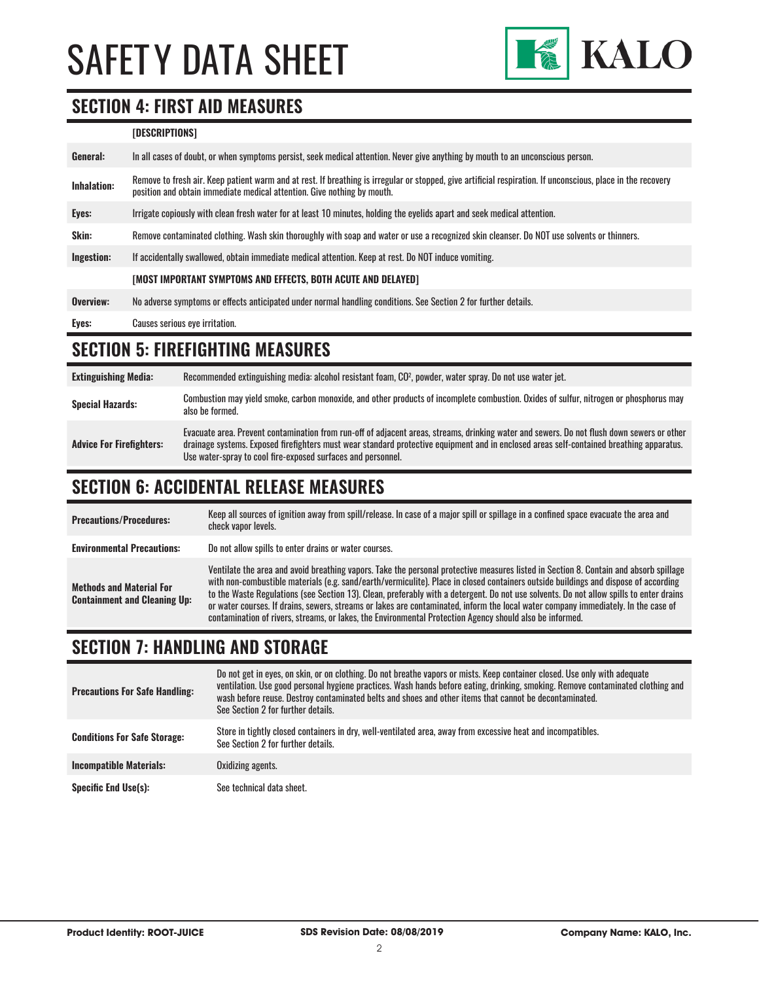

### **SECTION 4: FIRST AID MEASURES**

| [DESCRIPTIONS] |
|----------------|
|----------------|

| General:    | In all cases of doubt, or when symptoms persist, seek medical attention. Never give anything by mouth to an unconscious person.                                                                                                         |
|-------------|-----------------------------------------------------------------------------------------------------------------------------------------------------------------------------------------------------------------------------------------|
| Inhalation: | Remove to fresh air. Keep patient warm and at rest. If breathing is irregular or stopped, give artificial respiration. If unconscious, place in the recovery<br>position and obtain immediate medical attention. Give nothing by mouth. |
| Eyes:       | Irrigate copiously with clean fresh water for at least 10 minutes, holding the eyelids apart and seek medical attention.                                                                                                                |
| Skin:       | Remove contaminated clothing. Wash skin thoroughly with soap and water or use a recognized skin cleanser. Do NOT use solvents or thinners.                                                                                              |
| Ingestion:  | If accidentally swallowed, obtain immediate medical attention. Keep at rest, Do NOT induce vomiting.                                                                                                                                    |
|             | [MOST IMPORTANT SYMPTOMS AND EFFECTS, BOTH ACUTE AND DELAYED]                                                                                                                                                                           |
| Overview:   | No adverse symptoms or effects anticipated under normal handling conditions. See Section 2 for further details.                                                                                                                         |
| Eyes:       | Causes serious eye irritation.                                                                                                                                                                                                          |

### **SECTION 5: FIREFIGHTING MEASURES**

| <b>Extinguishing Media:</b>     | Recommended extinguishing media: alcohol resistant foam, CO <sup>2</sup> , powder, water spray. Do not use water jet.                                                                                                                                                                                                                                  |
|---------------------------------|--------------------------------------------------------------------------------------------------------------------------------------------------------------------------------------------------------------------------------------------------------------------------------------------------------------------------------------------------------|
| <b>Special Hazards:</b>         | Combustion may yield smoke, carbon monoxide, and other products of incomplete combustion. Oxides of sulfur, nitrogen or phosphorus may<br>also be formed.                                                                                                                                                                                              |
| <b>Advice For Firefighters:</b> | Evacuate area. Prevent contamination from run-off of adjacent areas, streams, drinking water and sewers. Do not flush down sewers or other<br>drainage systems. Exposed firefighters must wear standard protective equipment and in enclosed areas self-contained breathing apparatus.<br>Use water-spray to cool fire-exposed surfaces and personnel. |

## **SECTION 6: ACCIDENTAL RELEASE MEASURES**

| <b>Precautions/Procedures:</b>                                         | Keep all sources of ignition away from spill/release. In case of a major spill or spillage in a confined space evacuate the area and<br>check vapor levels.                                                                                                                                                                                                                                                                                                                                                                                                                                                                                                               |
|------------------------------------------------------------------------|---------------------------------------------------------------------------------------------------------------------------------------------------------------------------------------------------------------------------------------------------------------------------------------------------------------------------------------------------------------------------------------------------------------------------------------------------------------------------------------------------------------------------------------------------------------------------------------------------------------------------------------------------------------------------|
| <b>Environmental Precautions:</b>                                      | Do not allow spills to enter drains or water courses.                                                                                                                                                                                                                                                                                                                                                                                                                                                                                                                                                                                                                     |
| <b>Methods and Material For</b><br><b>Containment and Cleaning Up:</b> | Ventilate the area and avoid breathing vapors. Take the personal protective measures listed in Section 8. Contain and absorb spillage<br>with non-combustible materials (e.g. sand/earth/vermiculite). Place in closed containers outside buildings and dispose of according<br>to the Waste Regulations (see Section 13). Clean, preferably with a detergent. Do not use solvents. Do not allow spills to enter drains<br>or water courses. If drains, sewers, streams or lakes are contaminated, inform the local water company immediately. In the case of<br>contamination of rivers, streams, or lakes, the Environmental Protection Agency should also be informed. |

#### **SECTION 7: HANDLING AND STORAGE**

| <b>Precautions For Safe Handling:</b> | Do not get in eyes, on skin, or on clothing. Do not breathe vapors or mists. Keep container closed. Use only with adequate<br>ventilation. Use good personal hygiene practices. Wash hands before eating, drinking, smoking. Remove contaminated clothing and<br>wash before reuse. Destroy contaminated belts and shoes and other items that cannot be decontaminated.<br>See Section 2 for further details. |
|---------------------------------------|---------------------------------------------------------------------------------------------------------------------------------------------------------------------------------------------------------------------------------------------------------------------------------------------------------------------------------------------------------------------------------------------------------------|
| <b>Conditions For Safe Storage:</b>   | Store in tightly closed containers in dry, well-ventilated area, away from excessive heat and incompatibles.<br>See Section 2 for further details.                                                                                                                                                                                                                                                            |
| <b>Incompatible Materials:</b>        | Oxidizing agents.                                                                                                                                                                                                                                                                                                                                                                                             |
| Specific End Use(s):                  | See technical data sheet.                                                                                                                                                                                                                                                                                                                                                                                     |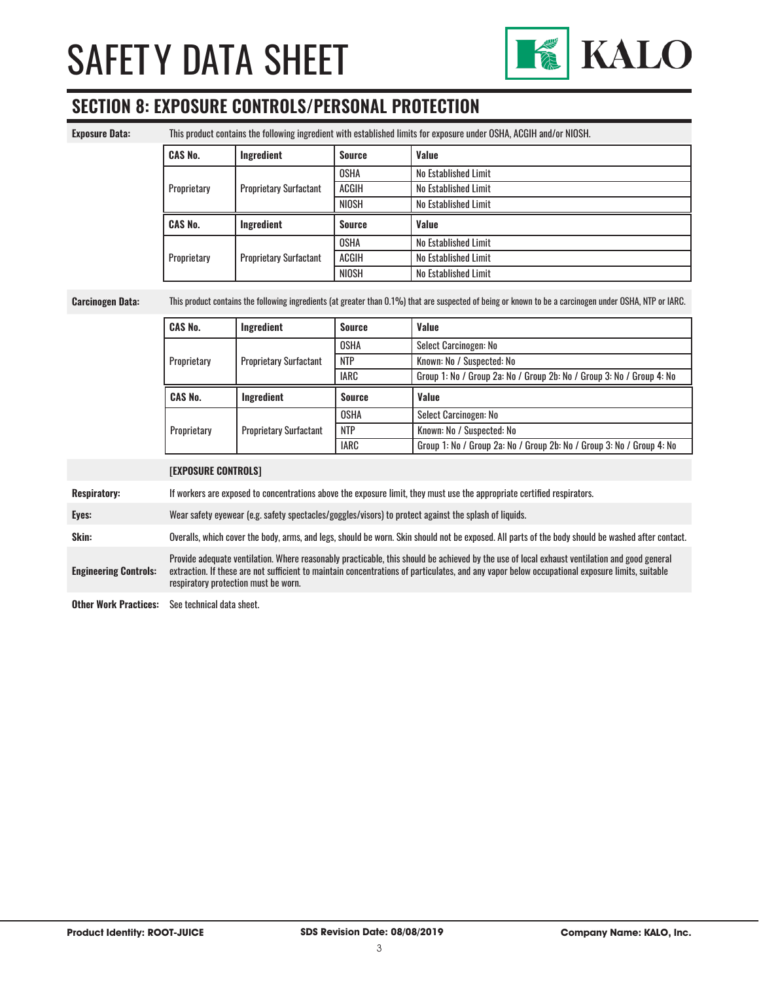

## **SECTION 8: EXPOSURE CONTROLS/PERSONAL PROTECTION**

| <b>Exposure Data:</b>        |                                                                                                                                                                                                                                                                                                                                        | This product contains the following ingredient with established limits for exposure under OSHA, ACGIH and/or NIOSH. |               |                                                                                                       |  |
|------------------------------|----------------------------------------------------------------------------------------------------------------------------------------------------------------------------------------------------------------------------------------------------------------------------------------------------------------------------------------|---------------------------------------------------------------------------------------------------------------------|---------------|-------------------------------------------------------------------------------------------------------|--|
|                              | <b>CAS No.</b>                                                                                                                                                                                                                                                                                                                         | Ingredient                                                                                                          | <b>Source</b> | Value                                                                                                 |  |
|                              |                                                                                                                                                                                                                                                                                                                                        |                                                                                                                     | <b>OSHA</b>   | No Established Limit                                                                                  |  |
|                              | Proprietary                                                                                                                                                                                                                                                                                                                            | <b>Proprietary Surfactant</b>                                                                                       | <b>ACGIH</b>  | No Established Limit                                                                                  |  |
|                              |                                                                                                                                                                                                                                                                                                                                        |                                                                                                                     | <b>NIOSH</b>  | No Established Limit                                                                                  |  |
|                              | <b>CAS No.</b>                                                                                                                                                                                                                                                                                                                         | Ingredient                                                                                                          | <b>Source</b> | Value                                                                                                 |  |
|                              |                                                                                                                                                                                                                                                                                                                                        |                                                                                                                     | <b>OSHA</b>   | No Established Limit                                                                                  |  |
|                              | Proprietary                                                                                                                                                                                                                                                                                                                            | <b>Proprietary Surfactant</b>                                                                                       | <b>ACGIH</b>  | No Established Limit                                                                                  |  |
|                              |                                                                                                                                                                                                                                                                                                                                        |                                                                                                                     | <b>NIOSH</b>  | No Established Limit                                                                                  |  |
| <b>Carcinogen Data:</b>      | This product contains the following ingredients (at greater than 0.1%) that are suspected of being or known to be a carcinogen under OSHA, NTP or IARC.                                                                                                                                                                                |                                                                                                                     |               |                                                                                                       |  |
|                              | <b>CAS No.</b>                                                                                                                                                                                                                                                                                                                         | Ingredient                                                                                                          | <b>Source</b> | Value                                                                                                 |  |
|                              |                                                                                                                                                                                                                                                                                                                                        |                                                                                                                     | <b>OSHA</b>   | Select Carcinogen: No                                                                                 |  |
|                              | Proprietary                                                                                                                                                                                                                                                                                                                            | <b>Proprietary Surfactant</b>                                                                                       | <b>NTP</b>    | Known: No / Suspected: No                                                                             |  |
|                              |                                                                                                                                                                                                                                                                                                                                        |                                                                                                                     | <b>IARC</b>   | Group 1: No / Group 2a: No / Group 2b: No / Group 3: No / Group 4: No                                 |  |
|                              | <b>CAS No.</b>                                                                                                                                                                                                                                                                                                                         | Ingredient                                                                                                          | <b>Source</b> | Value                                                                                                 |  |
|                              |                                                                                                                                                                                                                                                                                                                                        |                                                                                                                     | <b>OSHA</b>   | Select Carcinogen: No                                                                                 |  |
|                              | Proprietary                                                                                                                                                                                                                                                                                                                            | <b>Proprietary Surfactant</b>                                                                                       | <b>NTP</b>    | Known: No / Suspected: No                                                                             |  |
|                              |                                                                                                                                                                                                                                                                                                                                        |                                                                                                                     | <b>IARC</b>   | Group 1: No / Group 2a: No / Group 2b: No / Group 3: No / Group 4: No                                 |  |
|                              | <b>[EXPOSURE CONTROLS]</b>                                                                                                                                                                                                                                                                                                             |                                                                                                                     |               |                                                                                                       |  |
| <b>Respiratory:</b>          | If workers are exposed to concentrations above the exposure limit, they must use the appropriate certified respirators.                                                                                                                                                                                                                |                                                                                                                     |               |                                                                                                       |  |
| Eyes:                        |                                                                                                                                                                                                                                                                                                                                        |                                                                                                                     |               | Wear safety eyewear (e.g. safety spectacles/goggles/visors) to protect against the splash of liquids. |  |
| Skin:                        | Overalls, which cover the body, arms, and legs, should be worn. Skin should not be exposed. All parts of the body should be washed after contact.                                                                                                                                                                                      |                                                                                                                     |               |                                                                                                       |  |
| <b>Engineering Controls:</b> | Provide adequate ventilation. Where reasonably practicable, this should be achieved by the use of local exhaust ventilation and good general<br>extraction. If these are not sufficient to maintain concentrations of particulates, and any vapor below occupational exposure limits, suitable<br>respiratory protection must be worn. |                                                                                                                     |               |                                                                                                       |  |
| <b>Other Work Practices:</b> | See technical data sheet.                                                                                                                                                                                                                                                                                                              |                                                                                                                     |               |                                                                                                       |  |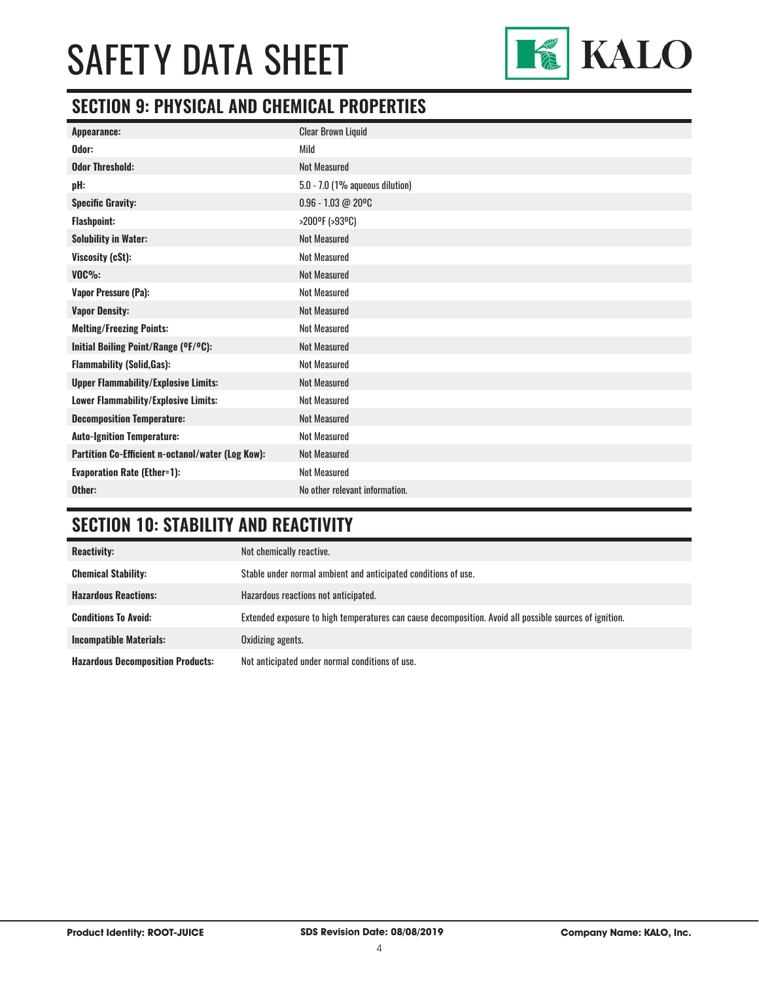

#### **SECTION 9: PHYSICAL AND CHEMICAL PROPERTIES**

| <b>Clear Brown Liquid</b>       |
|---------------------------------|
| Mild                            |
| <b>Not Measured</b>             |
| 5.0 - 7.0 (1% aqueous dilution) |
| $0.96 - 1.03 @ 20°C$            |
| >200ºF (>93ºC)                  |
| <b>Not Measured</b>             |
| <b>Not Measured</b>             |
| <b>Not Measured</b>             |
| <b>Not Measured</b>             |
| <b>Not Measured</b>             |
| <b>Not Measured</b>             |
| <b>Not Measured</b>             |
| <b>Not Measured</b>             |
| <b>Not Measured</b>             |
| <b>Not Measured</b>             |
| <b>Not Measured</b>             |
| <b>Not Measured</b>             |
| <b>Not Measured</b>             |
| <b>Not Measured</b>             |
| No other relevant information.  |
|                                 |

#### **SECTION 10: STABILITY AND REACTIVITY**

| <b>Reactivity:</b>                       | Not chemically reactive.                                                                                |
|------------------------------------------|---------------------------------------------------------------------------------------------------------|
| <b>Chemical Stability:</b>               | Stable under normal ambient and anticipated conditions of use.                                          |
| <b>Hazardous Reactions:</b>              | Hazardous reactions not anticipated.                                                                    |
| <b>Conditions To Avoid:</b>              | Extended exposure to high temperatures can cause decomposition. Avoid all possible sources of ignition. |
| <b>Incompatible Materials:</b>           | Oxidizing agents.                                                                                       |
| <b>Hazardous Decomposition Products:</b> | Not anticipated under normal conditions of use.                                                         |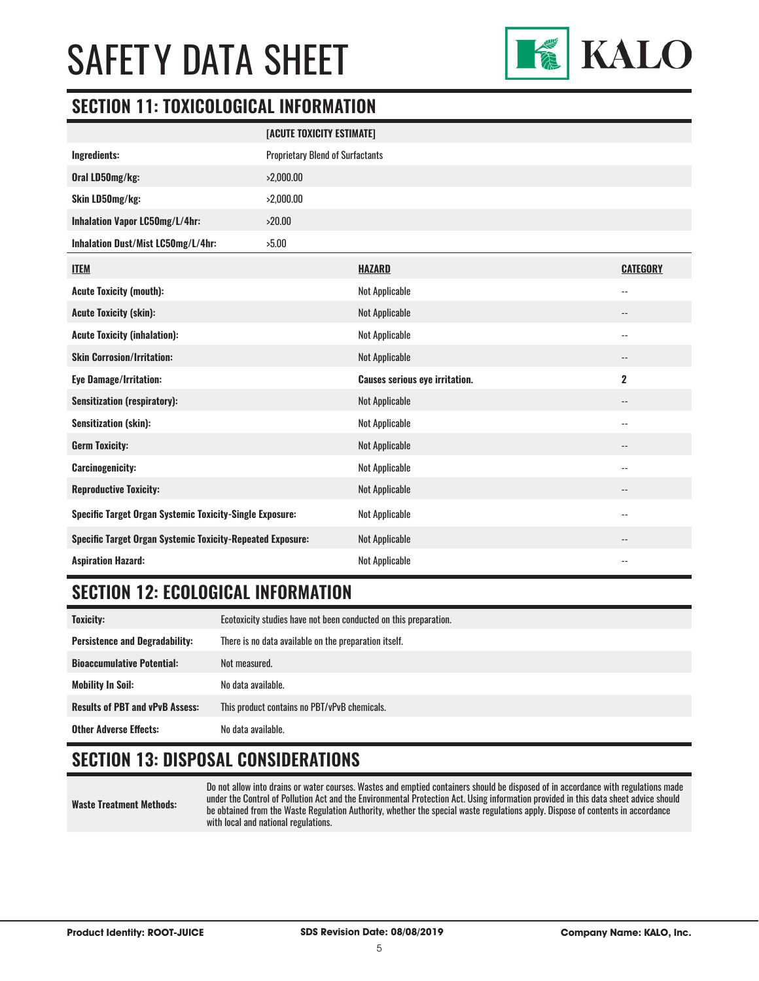

### **SECTION 11: TOXICOLOGICAL INFORMATION**

|                                                                   | [ACUTE TOXICITY ESTIMATE]               |                                       |                            |  |  |
|-------------------------------------------------------------------|-----------------------------------------|---------------------------------------|----------------------------|--|--|
| Ingredients:                                                      | <b>Proprietary Blend of Surfactants</b> |                                       |                            |  |  |
| Oral LD50mg/kg:                                                   | >2,000.00                               |                                       |                            |  |  |
| Skin LD50mg/kg:                                                   | >2,000.00                               |                                       |                            |  |  |
| Inhalation Vapor LC50mg/L/4hr:                                    | >20.00                                  |                                       |                            |  |  |
| Inhalation Dust/Mist LC50mg/L/4hr:                                | >5.00                                   |                                       |                            |  |  |
| <b>ITEM</b>                                                       |                                         | <b>HAZARD</b>                         | <b>CATEGORY</b>            |  |  |
| <b>Acute Toxicity (mouth):</b>                                    |                                         | <b>Not Applicable</b>                 | $\qquad \qquad -$          |  |  |
| <b>Acute Toxicity (skin):</b>                                     |                                         | <b>Not Applicable</b>                 | $\overline{\phantom{a}}$   |  |  |
| <b>Acute Toxicity (inhalation):</b>                               |                                         | <b>Not Applicable</b>                 | $-$                        |  |  |
| <b>Skin Corrosion/Irritation:</b>                                 |                                         | <b>Not Applicable</b>                 | $\overline{\phantom{a}}$   |  |  |
| <b>Eye Damage/Irritation:</b>                                     |                                         | <b>Causes serious eye irritation.</b> | $\mathbf 2$                |  |  |
| <b>Sensitization (respiratory):</b>                               |                                         | <b>Not Applicable</b>                 | $\overline{\phantom{a}}$   |  |  |
| <b>Sensitization (skin):</b>                                      |                                         | <b>Not Applicable</b>                 | --                         |  |  |
| <b>Germ Toxicity:</b>                                             |                                         | <b>Not Applicable</b>                 | --                         |  |  |
| <b>Carcinogenicity:</b>                                           |                                         | <b>Not Applicable</b>                 | $\overline{\phantom{a}}$ . |  |  |
| <b>Reproductive Toxicity:</b>                                     |                                         | <b>Not Applicable</b>                 | --                         |  |  |
| <b>Specific Target Organ Systemic Toxicity-Single Exposure:</b>   |                                         | <b>Not Applicable</b>                 | $\overline{\phantom{a}}$ . |  |  |
| <b>Specific Target Organ Systemic Toxicity-Repeated Exposure:</b> |                                         | <b>Not Applicable</b>                 | $\overline{\phantom{a}}$   |  |  |
| <b>Aspiration Hazard:</b>                                         |                                         | <b>Not Applicable</b>                 | --                         |  |  |

#### **SECTION 12: ECOLOGICAL INFORMATION**

| Toxicity:                              | Ecotoxicity studies have not been conducted on this preparation. |  |
|----------------------------------------|------------------------------------------------------------------|--|
| <b>Persistence and Degradability:</b>  | There is no data available on the preparation itself.            |  |
| <b>Bioaccumulative Potential:</b>      | Not measured.                                                    |  |
| <b>Mobility In Soil:</b>               | No data available.                                               |  |
| <b>Results of PBT and vPvB Assess:</b> | This product contains no PBT/vPvB chemicals.                     |  |
| <b>Other Adverse Effects:</b>          | No data available.                                               |  |

## **SECTION 13: DISPOSAL CONSIDERATIONS**

**Waste Treatment Methods:**

Do not allow into drains or water courses. Wastes and emptied containers should be disposed of in accordance with regulations made under the Control of Pollution Act and the Environmental Protection Act. Using information provided in this data sheet advice should be obtained from the Waste Regulation Authority, whether the special waste regulations apply. Dispose of contents in accordance with local and national regulations.